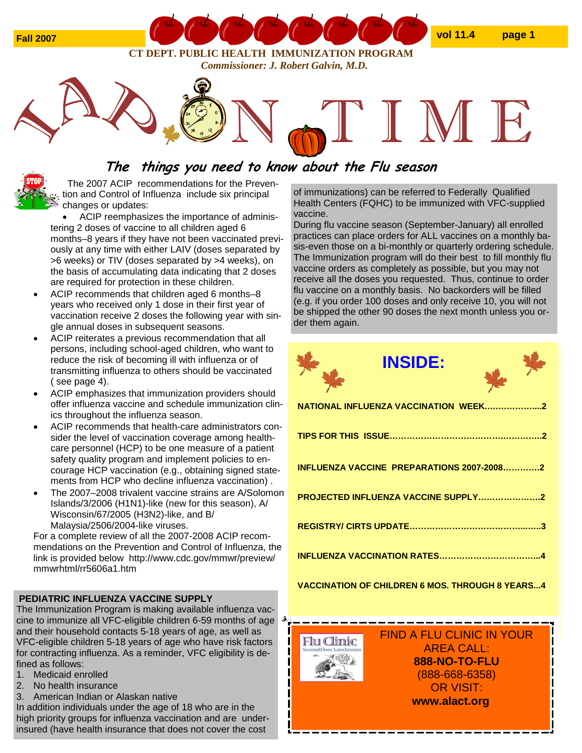

**CT DEPT. PUBLIC HEALTH IMMUNIZATION PROGRAM**  *Commissioner: J. Robert Galvin, M.D.* 

# **The things you need to know about the Flu season**

The 2007 ACIP recommendations for the Prevention and Control of Influenza include six principal changes or updates:

• ACIP reemphasizes the importance of administering 2 doses of vaccine to all children aged 6 months–8 years if they have not been vaccinated previously at any time with either LAIV (doses separated by >6 weeks) or TIV (doses separated by >4 weeks), on the basis of accumulating data indicating that 2 doses are required for protection in these children.

- ACIP recommends that children aged 6 months–8 years who received only 1 dose in their first year of vaccination receive 2 doses the following year with single annual doses in subsequent seasons.
- ACIP reiterates a previous recommendation that all persons, including school-aged children, who want to reduce the risk of becoming ill with influenza or of transmitting influenza to others should be vaccinated ( see page 4).
- ACIP emphasizes that immunization providers should offer influenza vaccine and schedule immunization clinics throughout the influenza season.
- ACIP recommends that health-care administrators consider the level of vaccination coverage among healthcare personnel (HCP) to be one measure of a patient safety quality program and implement policies to encourage HCP vaccination (e.g., obtaining signed statements from HCP who decline influenza vaccination) .
- The 2007–2008 trivalent vaccine strains are A/Solomon Islands/3/2006 (H1N1)-like (new for this season), A/ Wisconsin/67/2005 (H3N2)-like, and B/ Malaysia/2506/2004-like viruses.

For a complete review of all the 2007-2008 ACIP recommendations on the Prevention and Control of Influenza, the link is provided below http://www.cdc.gov/mmwr/preview/ mmwrhtml/rr5606a1.htm

## **PEDIATRIC INFLUENZA VACCINE SUPPLY**

The Immunization Program is making available influenza vaccine to immunize all VFC-eligible children 6-59 months of age and their household contacts 5-18 years of age, as well as VFC-eligible children 5-18 years of age who have risk factors for contracting influenza. As a reminder, VFC eligibility is defined as follows:

- 1. Medicaid enrolled
- 2. No health insurance
- 3. American Indian or Alaskan native

In addition individuals under the age of 18 who are in the high priority groups for influenza vaccination and are underinsured (have health insurance that does not cover the cost

of immunizations) can be referred to Federally Qualified Health Centers (FQHC) to be immunized with VFC-supplied vaccine.

TIME

During flu vaccine season (September-January) all enrolled practices can place orders for ALL vaccines on a monthly basis-even those on a bi-monthly or quarterly ordering schedule. The Immunization program will do their best to fill monthly flu vaccine orders as completely as possible, but you may not receive all the doses you requested. Thus, continue to order flu vaccine on a monthly basis. No backorders will be filled (e.g. if you order 100 doses and only receive 10, you will not be shipped the other 90 doses the next month unless you order them again.

| <b>INSIDE:</b>                                   |  |
|--------------------------------------------------|--|
| NATIONAL INFLUENZA VACCINATION WEEK2             |  |
|                                                  |  |
| <b>INFLUENZA VACCINE PREPARATIONS 2007-20082</b> |  |
| PROJECTED INFLUENZA VACCINE SUPPLY2              |  |
|                                                  |  |
| <b>INFLUENZA VACCINATION RATES</b>               |  |

**VACCINATION OF CHILDREN 6 MOS. THROUGH 8 YEARS...4** 

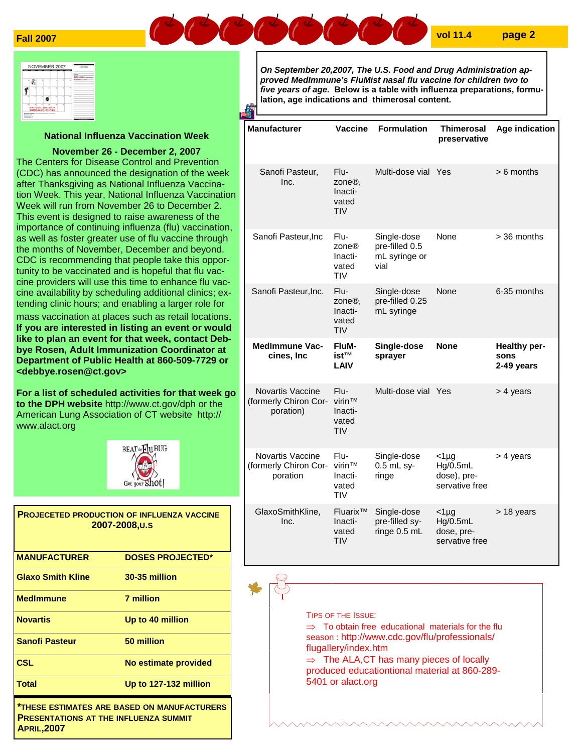

|   |                                                | Ŧ |  | yota<br>MAKE TERRITY                               |
|---|------------------------------------------------|---|--|----------------------------------------------------|
|   |                                                |   |  | <b>IT ART MOT THAN FACTOR</b><br><b>CONTRACTOR</b> |
|   |                                                |   |  |                                                    |
|   |                                                |   |  |                                                    |
| ÷ | NATIONAL INFLUENZA<br><b>DIMINIZATION WEEK</b> |   |  |                                                    |

## **National Influenza Vaccination Week**

## **November 26 - December 2, 2007**

The Centers for Disease Control and Prevention (CDC) has announced the designation of the week after Thanksgiving as National Influenza Vaccination Week. This year, National Influenza Vaccination Week will run from November 26 to December 2. This event is designed to raise awareness of the importance of continuing influenza (flu) vaccination, as well as foster greater use of flu vaccine through the months of November, December and beyond. CDC is recommending that people take this opportunity to be vaccinated and is hopeful that flu vaccine providers will use this time to enhance flu vaccine availability by scheduling additional clinics; extending clinic hours; and enabling a larger role for mass vaccination at places such as retail locations.

**If you are interested in listing an event or would like to plan an event for that week, contact Debbye Rosen, Adult Immunization Coordinator at Department of Public Health at 860-509-7729 or <debbye.rosen@ct.gov>** 

**For a list of scheduled activities for that week go to the DPH website** http://www.ct.gov/dph or the American Lung Association of CT website http:// www.alact.org



|                                                                                             | <b>PROJECETED PRODUCTION OF INFLUENZA VACCINE</b><br>2007-2008.U.S |  |  |
|---------------------------------------------------------------------------------------------|--------------------------------------------------------------------|--|--|
| <b>MANUFACTURER</b>                                                                         | <b>DOSES PROJECTED*</b>                                            |  |  |
| <b>Glaxo Smith Kline</b>                                                                    | 30-35 million                                                      |  |  |
| <b>MedImmune</b>                                                                            | 7 million                                                          |  |  |
| <b>Novartis</b>                                                                             | Up to 40 million                                                   |  |  |
| <b>Sanofi Pasteur</b>                                                                       | 50 million                                                         |  |  |
| <b>CSL</b>                                                                                  | No estimate provided                                               |  |  |
| Total                                                                                       | Up to 127-132 million                                              |  |  |
| *THESE ESTIMATES ARE BASED ON MANUFACTURERS<br><b>PRESENTATIONS AT THE INFLUENZA SUMMIT</b> |                                                                    |  |  |

**APRIL,2007** 

*On September 20,2007, The U.S. Food and Drug Administration approved MedImmune's FluMist nasal flu vaccine for children two to five years of age.* **Below is a table with influenza preparations, formulation, age indications and thimerosal content.**

| <b>Manufacturer</b>                                                                                                                                                                                                                                                                                | Vaccine                                                | <b>Formulation</b>                                     | Thimerosal<br>preservative                           | Age indication                     |  |
|----------------------------------------------------------------------------------------------------------------------------------------------------------------------------------------------------------------------------------------------------------------------------------------------------|--------------------------------------------------------|--------------------------------------------------------|------------------------------------------------------|------------------------------------|--|
| Sanofi Pasteur,<br>Inc.                                                                                                                                                                                                                                                                            | Flu-<br>zone <sup>®</sup> ,<br>Inacti-<br>vated<br>TIV | Multi-dose vial Yes                                    |                                                      | $> 6$ months                       |  |
| Sanofi Pasteur, Inc                                                                                                                                                                                                                                                                                | Flu-<br>70n eR<br>Inacti-<br>vated<br><b>TIV</b>       | Single-dose<br>pre-filled 0.5<br>mL syringe or<br>vial | None                                                 | > 36 months                        |  |
| Sanofi Pasteur, Inc.                                                                                                                                                                                                                                                                               | Flu-<br>zone <sup>®</sup> ,<br>Inacti-<br>vated<br>TIV | Single-dose<br>pre-filled 0.25<br>mL syringe           | None                                                 | 6-35 months                        |  |
| <b>MedImmune Vac-</b><br>cines, Inc                                                                                                                                                                                                                                                                | FluM-<br>ist™<br>LAIV                                  | Single-dose<br>sprayer                                 | <b>None</b>                                          | Healthy per-<br>sons<br>2-49 years |  |
| Novartis Vaccine<br>(formerly Chiron Cor-<br>poration)                                                                                                                                                                                                                                             | Flu-<br>virin™<br>Inacti-<br>vated<br>TIV              | Multi-dose vial Yes                                    |                                                      | > 4 years                          |  |
| <b>Novartis Vaccine</b><br>(formerly Chiron Cor-<br>poration                                                                                                                                                                                                                                       | Flu-<br>virin™<br>Inacti-<br>vated<br>TIV              | Single-dose<br>0.5 mL sy-<br>ringe                     | $<$ 1µg<br>Hg/0.5mL<br>dose), pre-<br>servative free | > 4 years                          |  |
| GlaxoSmithKline,<br>Inc.                                                                                                                                                                                                                                                                           | Fluarix™<br>Inacti-<br>vated<br>TIV                    | Single-dose<br>pre-filled sy-<br>ringe 0.5 mL          | $<$ 1µg<br>Hg/0.5mL<br>dose, pre-<br>servative free  | > 18 years                         |  |
|                                                                                                                                                                                                                                                                                                    |                                                        |                                                        |                                                      |                                    |  |
| <b>TIPS OF THE ISSUE:</b><br>$\Rightarrow$ To obtain free educational materials for the flu<br>season: http://www.cdc.gov/flu/professionals/<br>flugallery/index.htm<br>$\Rightarrow$ The ALA, CT has many pieces of locally<br>produced educationtional material at 860-289-<br>5401 or alact.org |                                                        |                                                        |                                                      |                                    |  |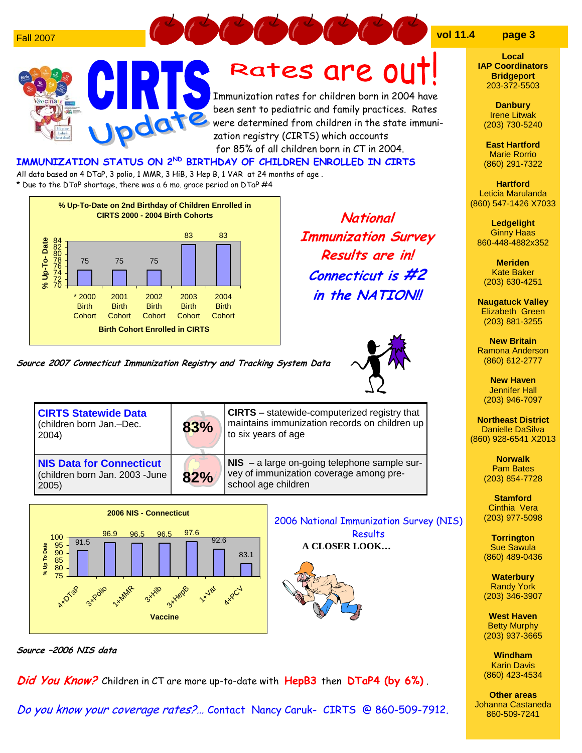



**Local IAP Coordinators Bridgeport** 203-372-5503

**Danbury**  Irene Litwak (203) 730-5240

**East Hartford**  Marie Rorrio (860) 291-7322

**Hartford**  Leticia Marulanda (860) 547-1426 X7033

**Ledgelight**  Ginny Haas 860-448-4882x352

**Meriden**  Kate Baker (203) 630-4251

**Naugatuck Valley**  Elizabeth Green (203) 881-3255

**New Britain**  Ramona Anderson (860) 612-2777

**New Haven**  Jennifer Hall (203) 946-7097

**Northeast District**  Danielle DaSilva (860) 928-6541 X2013

> **Norwalk**  Pam Bates (203) 854-7728

**Stamford**  Cinthia Vera (203) 977-5098

**Torrington**  Sue Sawula (860) 489-0436

**Waterbury**  Randy York (203) 346-3907

**West Haven**  Betty Murphy (203) 937-3665

**Windham**  Karin Davis (860) 423-4534

**Other areas**  Johanna Castaneda 860-509-7241





**National Immunization Survey Results are in! Connecticut is #2 in the NATION!!** 



**Source 2007 Connecticut Immunization Registry and Tracking System Data** 

**Vaccine**



**Source –2006 NIS data** 

**Did You Know?** Children in CT are more up-to-date with **HepB3** then **DTaP4 (by 6%)** .

Do you know your coverage rates?… Contact Nancy Caruk- CIRTS @ 860-509-7912.